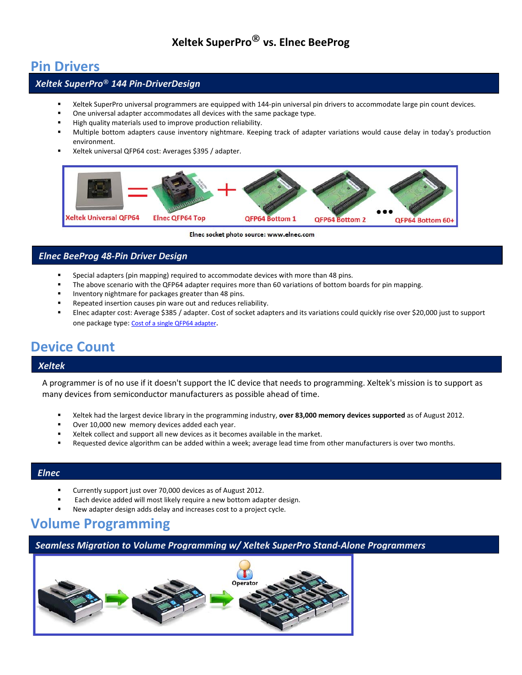## **Xeltek SuperPro® vs. Elnec BeeProg**

### **Pin Drivers**

### *Xeltek SuperPro***®** *144 Pin-DriverDesign*

- Xeltek SuperPro universal programmers are equipped with 144-pin universal pin drivers to accommodate large pin count devices.
- One universal adapter accommodates all devices with the same package type.
- High quality materials used to improve production reliability.
- Multiple bottom adapters cause inventory nightmare. Keeping track of adapter variations would cause delay in today's production environment.
- Xeltek universal QFP64 cost: Averages \$395 / adapter.



Elnec socket photo source: www.elnec.com

### *Elnec BeeProg 48-Pin Driver Design*

- **Special adapters (pin mapping) required to accommodate devices with more than 48 pins.**
- The above scenario with the QFP64 adapter requires more than 60 variations of bottom boards for pin mapping.
- Inventory nightmare for packages greater than 48 pins.
- Repeated insertion causes pin ware out and reduces reliability.
- Elnec adapter cost: Average \$385 / adapter. Cost of socket adapters and its variations could quickly rise over \$20,000 just to support one package type: [Cost of a single QFP64 adapter.](http://www.elnec.com/products/programming-adapters/?f=DIL48_QFP64-1_ZIF-CS_NEC-3)

# **Device Count**

#### *Xeltek*

A programmer is of no use if it doesn't support the IC device that needs to programming. Xeltek's mission is to support as many devices from semiconductor manufacturers as possible ahead of time.

- Xeltek had the largest device library in the programming industry, **over 83,000 memory devices supported** as of August 2012.
- Over 10,000 new memory devices added each year.
- Xeltek collect and support all new devices as it becomes available in the market.
- Requested device algorithm can be added within a week; average lead time from other manufacturers is over two months.

### *Elnec*

- Currently support just over 70,000 devices as of August 2012.
- Each device added will most likely require a new bottom adapter design.
- New adapter design adds delay and increases cost to a project cycle.

## **Volume Programming**

*Seamless Migration to Volume Programming w/ Xeltek SuperPro Stand-Alone Programmers*